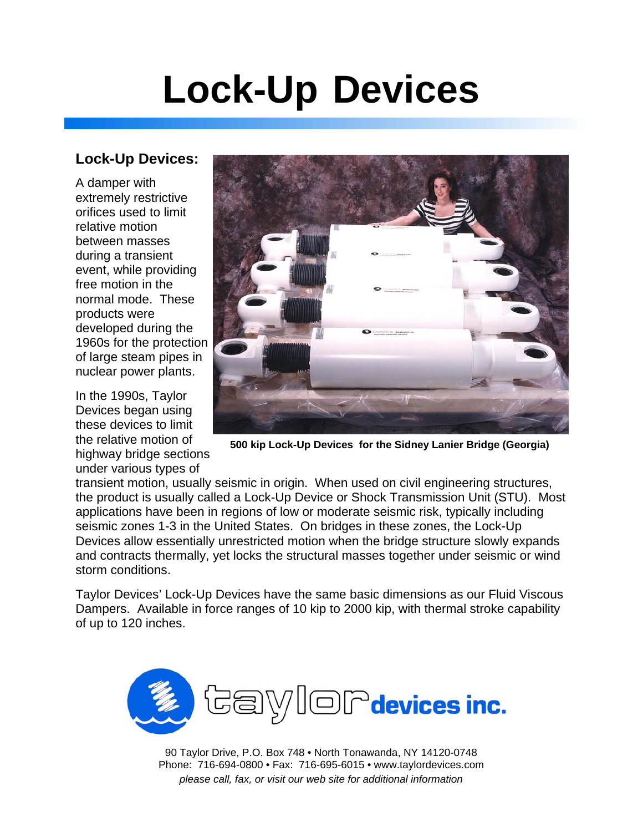# **Lock-Up Devices**

### **Lock-Up Devices:**

A damper with extremely restrictive orifices used to limit relative motion between masses during a transient event, while providing free motion in the normal mode. These products were developed during the 1960s for the protection of large steam pipes in nuclear power plants.

In the 1990s, Taylor Devices began using these devices to limit the relative motion of highway bridge sections under various types of



**500 kip Lock-Up Devices for the Sidney Lanier Bridge (Georgia)**

transient motion, usually seismic in origin. When used on civil engineering structures, the product is usually called a Lock-Up Device or Shock Transmission Unit (STU). Most applications have been in regions of low or moderate seismic risk, typically including seismic zones 1-3 in the United States. On bridges in these zones, the Lock-Up Devices allow essentially unrestricted motion when the bridge structure slowly expands and contracts thermally, yet locks the structural masses together under seismic or wind storm conditions.

Taylor Devices' Lock-Up Devices have the same basic dimensions as our Fluid Viscous Dampers. Available in force ranges of 10 kip to 2000 kip, with thermal stroke capability of up to 120 inches.



90 Taylor Drive, P.O. Box 748 • North Tonawanda, NY 14120-0748 Phone: 716-694-0800 • Fax: 716-695-6015 • www.taylordevices.com *please call, fax, or visit our web site for additional information*